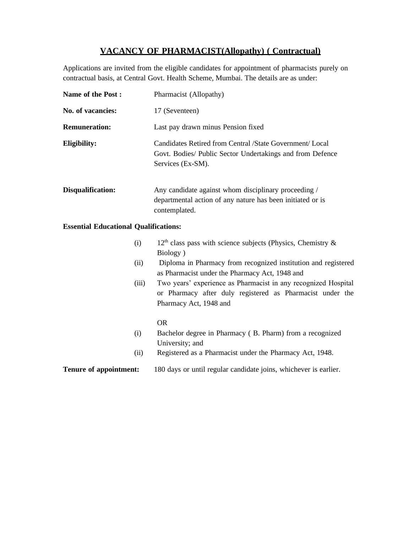# **VACANCY OF PHARMACIST(Allopathy) ( Contractual)**

Applications are invited from the eligible candidates for appointment of pharmacists purely on contractual basis, at Central Govt. Health Scheme, Mumbai. The details are as under:

| <b>Name of the Post:</b> | Pharmacist (Allopathy)                                                                                                                     |
|--------------------------|--------------------------------------------------------------------------------------------------------------------------------------------|
| No. of vacancies:        | 17 (Seventeen)                                                                                                                             |
| <b>Remuneration:</b>     | Last pay drawn minus Pension fixed                                                                                                         |
| Eligibility:             | Candidates Retired from Central /State Government/ Local<br>Govt. Bodies/ Public Sector Undertakings and from Defence<br>Services (Ex-SM). |
| Disqualification:        | Any candidate against whom disciplinary proceeding /<br>departmental action of any nature has been initiated or is<br>contemplated.        |

### **Essential Educational Qualifications:**

| (i) | $12th$ class pass with science subjects (Physics, Chemistry & |
|-----|---------------------------------------------------------------|
|     | Biology)                                                      |

- (ii) Diploma in Pharmacy from recognized institution and registered as Pharmacist under the Pharmacy Act, 1948 and
- (iii) Two years' experience as Pharmacist in any recognized Hospital or Pharmacy after duly registered as Pharmacist under the Pharmacy Act, 1948 and

### OR

- (i) Bachelor degree in Pharmacy ( B. Pharm) from a recognized University; and
- (ii) Registered as a Pharmacist under the Pharmacy Act, 1948.

# **Tenure of appointment:** 180 days or until regular candidate joins, whichever is earlier.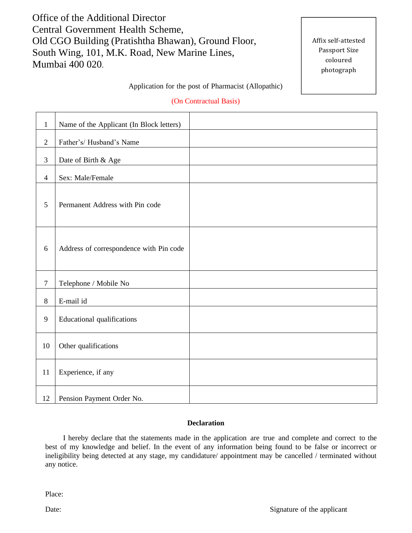Office of the Additional Director Central Government Health Scheme, Old CGO Building (Pratishtha Bhawan), Ground Floor, South Wing, 101, M.K. Road, New Marine Lines, Mumbai 400 020.

Affix self-attested Passport Size coloured photograph

### Application for the post of Pharmacist (Allopathic)

### (On Contractual Basis)

| $\mathbf{1}$   | Name of the Applicant (In Block letters) |
|----------------|------------------------------------------|
| $\overline{2}$ | Father's/Husband's Name                  |
| $\mathfrak{Z}$ | Date of Birth & Age                      |
| $\overline{4}$ | Sex: Male/Female                         |
| 5              | Permanent Address with Pin code          |
| 6              | Address of correspondence with Pin code  |
| $\overline{7}$ | Telephone / Mobile No                    |
| $\,8\,$        | E-mail id                                |
| 9              | <b>Educational qualifications</b>        |
| 10             | Other qualifications                     |
| 11             | Experience, if any                       |
| 12             | Pension Payment Order No.                |

#### **Declaration**

I hereby declare that the statements made in the application are true and complete and correct to the best of my knowledge and belief. In the event of any information being found to be false or incorrect or ineligibility being detected at any stage, my candidature/ appointment may be cancelled / terminated without any notice.

Place: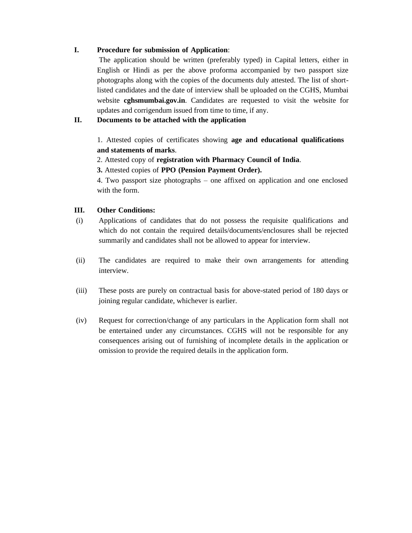# **I. Procedure for submission of Application**:

The application should be written (preferably typed) in Capital letters, either in English or Hindi as per the above proforma accompanied by two passport size photographs along with the copies of the documents duly attested. The list of shortlisted candidates and the date of interview shall be uploaded on the CGHS, Mumbai website **cghsmumbai.gov.in**. Candidates are requested to visit the website for updates and corrigendum issued from time to time, if any.

# **II. Documents to be attached with the application**

1. Attested copies of certificates showing **age and educational qualifications and statements of marks**.

2. Attested copy of **registration with Pharmacy Council of India**.

**3.** Attested copies of **PPO (Pension Payment Order).**

4. Two passport size photographs – one affixed on application and one enclosed with the form.

### **III. Other Conditions:**

- (i) Applications of candidates that do not possess the requisite qualifications and which do not contain the required details/documents/enclosures shall be rejected summarily and candidates shall not be allowed to appear for interview.
- (ii) The candidates are required to make their own arrangements for attending interview.
- (iii) These posts are purely on contractual basis for above-stated period of 180 days or joining regular candidate, whichever is earlier.
- (iv) Request for correction/change of any particulars in the Application form shall not be entertained under any circumstances. CGHS will not be responsible for any consequences arising out of furnishing of incomplete details in the application or omission to provide the required details in the application form.